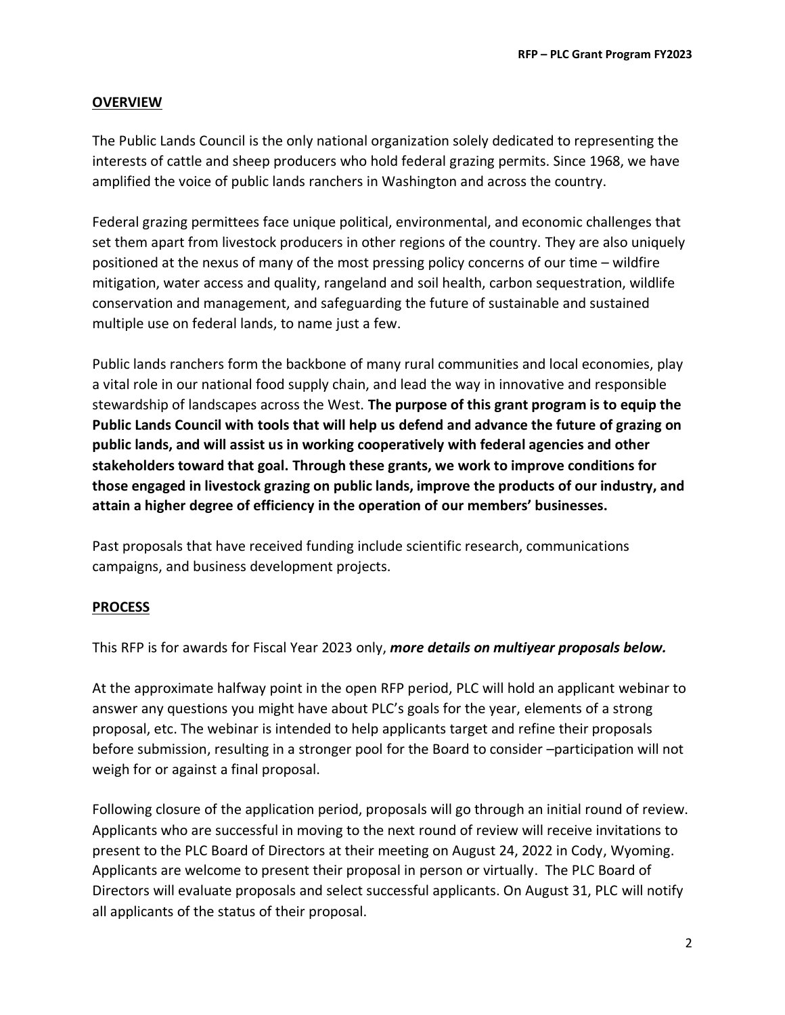#### **OVERVIEW**

The Public Lands Council is the only national organization solely dedicated to representing the interests of cattle and sheep producers who hold federal grazing permits. Since 1968, we have amplified the voice of public lands ranchers in Washington and across the country.

Federal grazing permittees face unique political, environmental, and economic challenges that set them apart from livestock producers in other regions of the country. They are also uniquely positioned at the nexus of many of the most pressing policy concerns of our time – wildfire mitigation, water access and quality, rangeland and soil health, carbon sequestration, wildlife conservation and management, and safeguarding the future of sustainable and sustained multiple use on federal lands, to name just a few.

Public lands ranchers form the backbone of many rural communities and local economies, play a vital role in our national food supply chain, and lead the way in innovative and responsible stewardship of landscapes across the West. **The purpose of this grant program is to equip the Public Lands Council with tools that will help us defend and advance the future of grazing on public lands, and will assist us in working cooperatively with federal agencies and other stakeholders toward that goal. Through these grants, we work to improve conditions for those engaged in livestock grazing on public lands, improve the products of our industry, and attain a higher degree of efficiency in the operation of our members' businesses.** 

Past proposals that have received funding include scientific research, communications campaigns, and business development projects.

#### **PROCESS**

This RFP is for awards for Fiscal Year 2023 only, *more details on multiyear proposals below.*

At the approximate halfway point in the open RFP period, PLC will hold an applicant webinar to answer any questions you might have about PLC's goals for the year, elements of a strong proposal, etc. The webinar is intended to help applicants target and refine their proposals before submission, resulting in a stronger pool for the Board to consider –participation will not weigh for or against a final proposal.

Following closure of the application period, proposals will go through an initial round of review. Applicants who are successful in moving to the next round of review will receive invitations to present to the PLC Board of Directors at their meeting on August 24, 2022 in Cody, Wyoming. Applicants are welcome to present their proposal in person or virtually. The PLC Board of Directors will evaluate proposals and select successful applicants. On August 31, PLC will notify all applicants of the status of their proposal.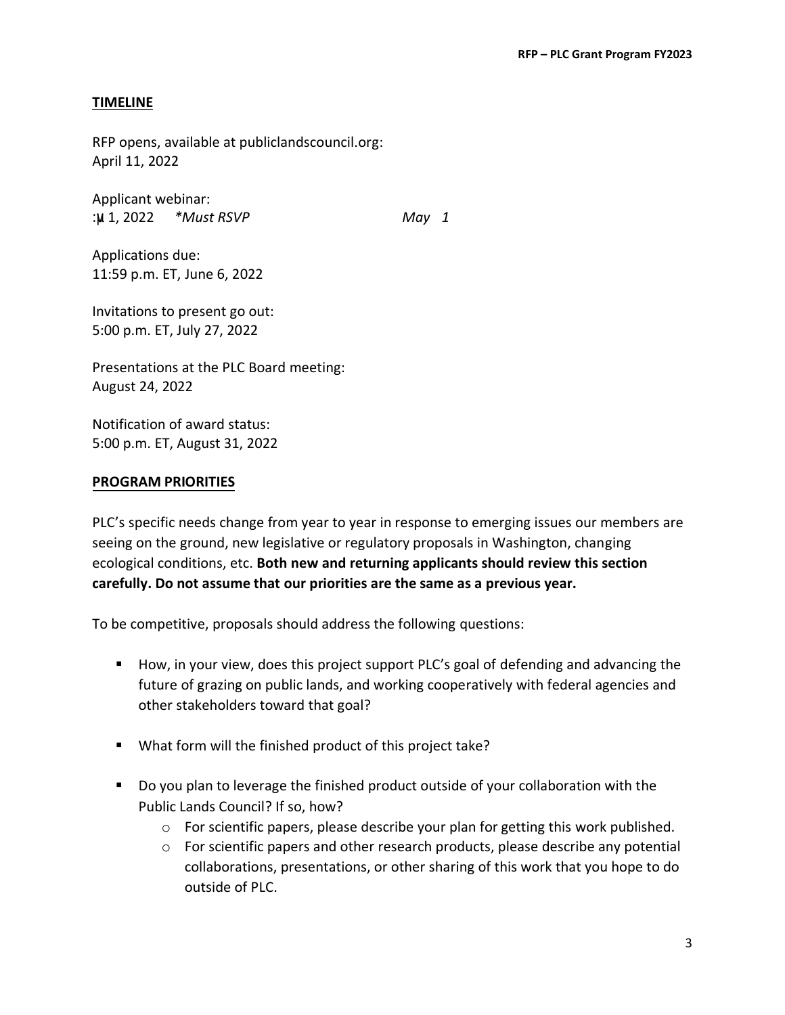#### **TIMELINE**

RFP opens, available at publiclandscouncil.org: April 11, 2022

Applicant webinar: :µv1, 2022 *\*Must RSVP to jtedder@beef.org by May 31*

Applications due: 11:59 p.m. ET, June 6, 2022

Invitations to present go out: 5:00 p.m. ET, July 27, 2022

Presentations at the PLC Board meeting: August 24, 2022

Notification of award status: 5:00 p.m. ET, August 31, 2022

#### **PROGRAM PRIORITIES**

PLC's specific needs change from year to year in response to emerging issues our members are seeing on the ground, new legislative or regulatory proposals in Washington, changing ecological conditions, etc. **Both new and returning applicants should review this section carefully. Do not assume that our priorities are the same as a previous year.** 

To be competitive, proposals should address the following questions:

- How, in your view, does this project support PLC's goal of defending and advancing the future of grazing on public lands, and working cooperatively with federal agencies and other stakeholders toward that goal?
- What form will the finished product of this project take?
- Do you plan to leverage the finished product outside of your collaboration with the Public Lands Council? If so, how?
	- o For scientific papers, please describe your plan for getting this work published.
	- $\circ$  For scientific papers and other research products, please describe any potential collaborations, presentations, or other sharing of this work that you hope to do outside of PLC.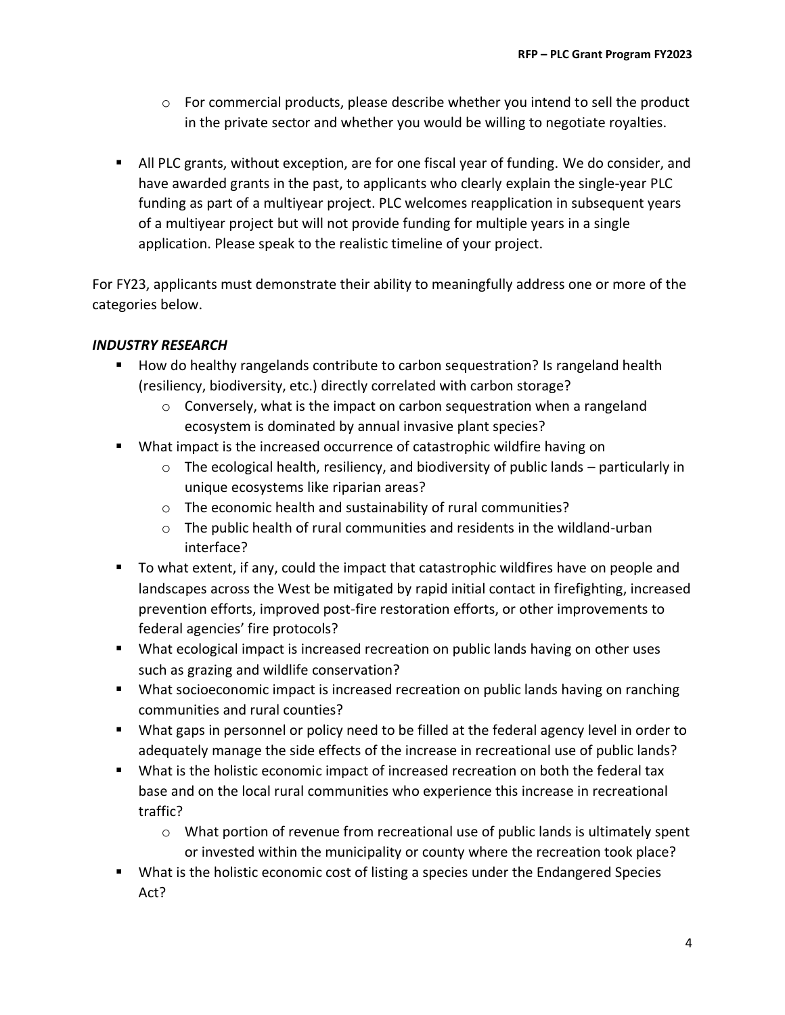- $\circ$  For commercial products, please describe whether you intend to sell the product in the private sector and whether you would be willing to negotiate royalties.
- All PLC grants, without exception, are for one fiscal year of funding. We do consider, and have awarded grants in the past, to applicants who clearly explain the single-year PLC funding as part of a multiyear project. PLC welcomes reapplication in subsequent years of a multiyear project but will not provide funding for multiple years in a single application. Please speak to the realistic timeline of your project.

For FY23, applicants must demonstrate their ability to meaningfully address one or more of the categories below.

# *INDUSTRY RESEARCH*

- How do healthy rangelands contribute to carbon sequestration? Is rangeland health (resiliency, biodiversity, etc.) directly correlated with carbon storage?
	- $\circ$  Conversely, what is the impact on carbon sequestration when a rangeland ecosystem is dominated by annual invasive plant species?
- What impact is the increased occurrence of catastrophic wildfire having on
	- $\circ$  The ecological health, resiliency, and biodiversity of public lands particularly in unique ecosystems like riparian areas?
	- o The economic health and sustainability of rural communities?
	- $\circ$  The public health of rural communities and residents in the wildland-urban interface?
- To what extent, if any, could the impact that catastrophic wildfires have on people and landscapes across the West be mitigated by rapid initial contact in firefighting, increased prevention efforts, improved post-fire restoration efforts, or other improvements to federal agencies' fire protocols?
- What ecological impact is increased recreation on public lands having on other uses such as grazing and wildlife conservation?
- What socioeconomic impact is increased recreation on public lands having on ranching communities and rural counties?
- What gaps in personnel or policy need to be filled at the federal agency level in order to adequately manage the side effects of the increase in recreational use of public lands?
- What is the holistic economic impact of increased recreation on both the federal tax base and on the local rural communities who experience this increase in recreational traffic?
	- o What portion of revenue from recreational use of public lands is ultimately spent or invested within the municipality or county where the recreation took place?
- What is the holistic economic cost of listing a species under the Endangered Species Act?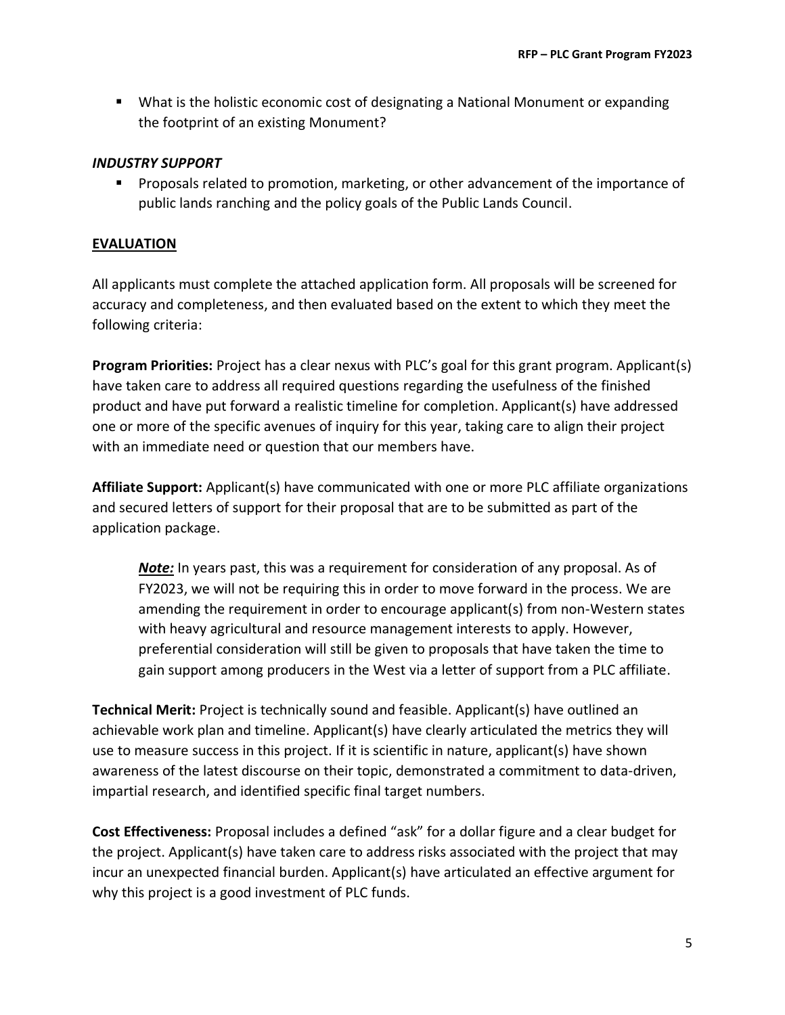■ What is the holistic economic cost of designating a National Monument or expanding the footprint of an existing Monument?

#### *INDUSTRY SUPPORT*

■ Proposals related to promotion, marketing, or other advancement of the importance of public lands ranching and the policy goals of the Public Lands Council.

### **EVALUATION**

All applicants must complete the attached application form. All proposals will be screened for accuracy and completeness, and then evaluated based on the extent to which they meet the following criteria:

**Program Priorities:** Project has a clear nexus with PLC's goal for this grant program. Applicant(s) have taken care to address all required questions regarding the usefulness of the finished product and have put forward a realistic timeline for completion. Applicant(s) have addressed one or more of the specific avenues of inquiry for this year, taking care to align their project with an immediate need or question that our members have.

**Affiliate Support:** Applicant(s) have communicated with one or more PLC affiliate organizations and secured letters of support for their proposal that are to be submitted as part of the application package.

*Note:* In years past, this was a requirement for consideration of any proposal. As of FY2023, we will not be requiring this in order to move forward in the process. We are amending the requirement in order to encourage applicant(s) from non-Western states with heavy agricultural and resource management interests to apply. However, preferential consideration will still be given to proposals that have taken the time to gain support among producers in the West via a letter of support from a PLC affiliate.

**Technical Merit:** Project is technically sound and feasible. Applicant(s) have outlined an achievable work plan and timeline. Applicant(s) have clearly articulated the metrics they will use to measure success in this project. If it is scientific in nature, applicant(s) have shown awareness of the latest discourse on their topic, demonstrated a commitment to data-driven, impartial research, and identified specific final target numbers.

**Cost Effectiveness:** Proposal includes a defined "ask" for a dollar figure and a clear budget for the project. Applicant(s) have taken care to address risks associated with the project that may incur an unexpected financial burden. Applicant(s) have articulated an effective argument for why this project is a good investment of PLC funds.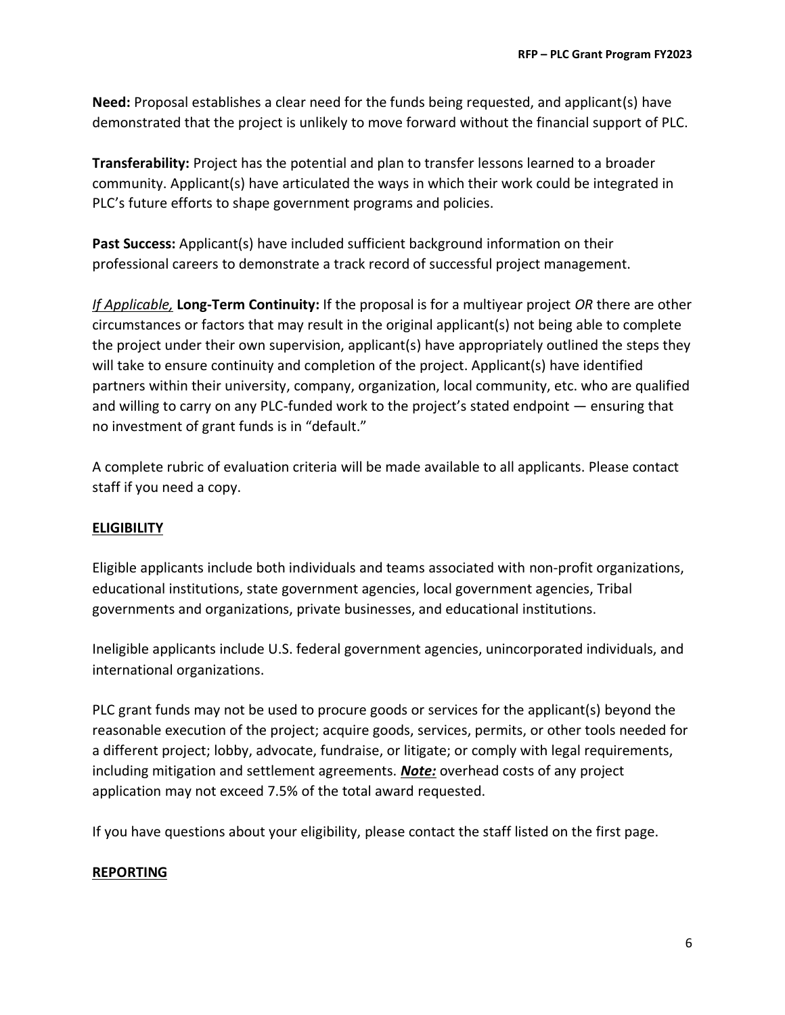**Need:** Proposal establishes a clear need for the funds being requested, and applicant(s) have demonstrated that the project is unlikely to move forward without the financial support of PLC.

**Transferability:** Project has the potential and plan to transfer lessons learned to a broader community. Applicant(s) have articulated the ways in which their work could be integrated in PLC's future efforts to shape government programs and policies.

**Past Success:** Applicant(s) have included sufficient background information on their professional careers to demonstrate a track record of successful project management.

*If Applicable,* **Long-Term Continuity:** If the proposal is for a multiyear project *OR* there are other circumstances or factors that may result in the original applicant(s) not being able to complete the project under their own supervision, applicant(s) have appropriately outlined the steps they will take to ensure continuity and completion of the project. Applicant(s) have identified partners within their university, company, organization, local community, etc. who are qualified and willing to carry on any PLC-funded work to the project's stated endpoint — ensuring that no investment of grant funds is in "default."

A complete rubric of evaluation criteria will be made available to all applicants. Please contact staff if you need a copy.

# **ELIGIBILITY**

Eligible applicants include both individuals and teams associated with non-profit organizations, educational institutions, state government agencies, local government agencies, Tribal governments and organizations, private businesses, and educational institutions.

Ineligible applicants include U.S. federal government agencies, unincorporated individuals, and international organizations.

PLC grant funds may not be used to procure goods or services for the applicant(s) beyond the reasonable execution of the project; acquire goods, services, permits, or other tools needed for a different project; lobby, advocate, fundraise, or litigate; or comply with legal requirements, including mitigation and settlement agreements. *Note:* overhead costs of any project application may not exceed 7.5% of the total award requested.

If you have questions about your eligibility, please contact the staff listed on the first page.

# **REPORTING**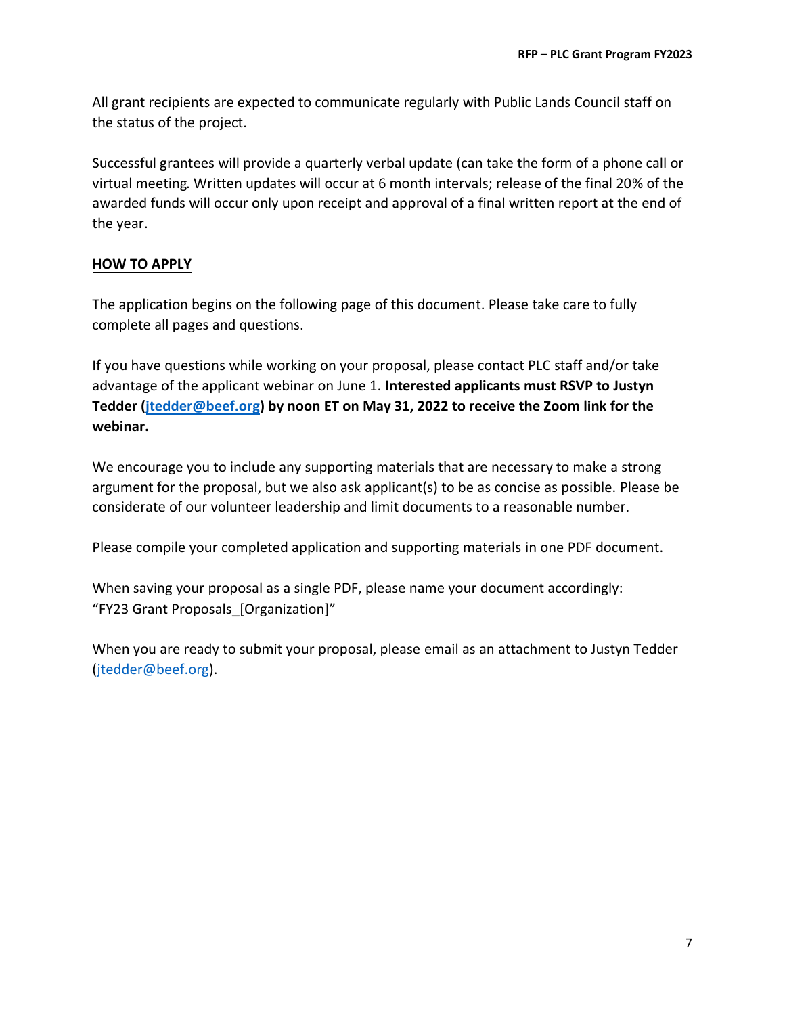All grant recipients are expected to communicate regularly with Public Lands Council staff on the status of the project.

Successful grantees will provide a quarterly verbal update (can take the form of a phone call or virtual meeting. Written updates will occur at 6 month intervals; release of the final 20% of the awarded funds will occur only upon receipt and approval of a final written report at the end of the year.

# **HOW TO APPLY**

The application begins on the following page of this document. Please take care to fully complete all pages and questions.

If you have questions while working on your proposal, please contact PLC staff and/or take advantage of the applicant webinar on June 1. **Interested applicants must RSVP to Justyn Tedder [\(jtedder@beef.org](mailto:jtedder@beef.org)) by noon ET on May 31, 2022 to receive the Zoom link for the webinar.**

We encourage you to include any supporting materials that are necessary to make a strong argument for the proposal, but we also ask applicant(s) to be as concise as possible. Please be considerate of our volunteer leadership and limit documents to a reasonable number.

Please compile your completed application and supporting materials in one PDF document.

When saving your proposal as a single PDF, please name your document accordingly: "FY23 Grant Proposals\_[Organization]"

When you are ready to submit your proposal, please email as an attachment to Justyn Tedder [\(jtedder@beef.org](mailto:jtedder@beef.org)).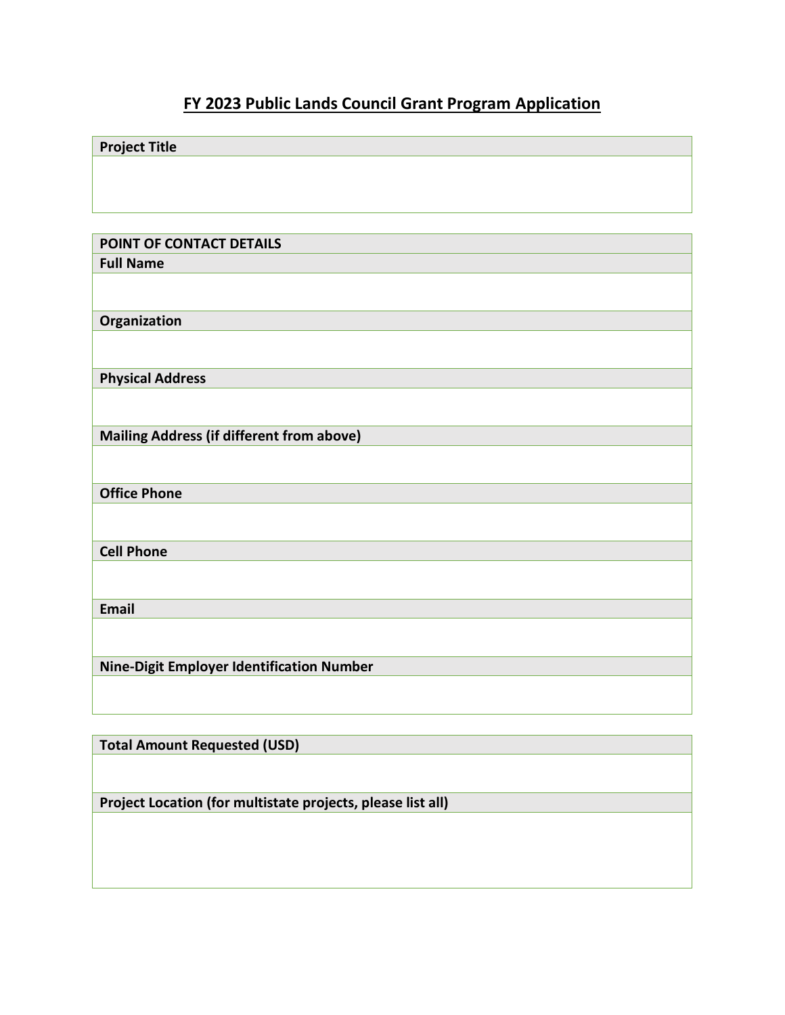# **FY 2023 Public Lands Council Grant Program Application**

| <b>Project Title</b>                             |
|--------------------------------------------------|
|                                                  |
|                                                  |
|                                                  |
|                                                  |
| POINT OF CONTACT DETAILS                         |
| <b>Full Name</b>                                 |
|                                                  |
| Organization                                     |
|                                                  |
|                                                  |
| <b>Physical Address</b>                          |
|                                                  |
| <b>Mailing Address (if different from above)</b> |
|                                                  |
| <b>Office Phone</b>                              |
|                                                  |
| <b>Cell Phone</b>                                |
|                                                  |
| Email                                            |
|                                                  |
| Nine-Digit Employer Identification Number        |
|                                                  |
|                                                  |

**Total Amount Requested (USD)**

**Project Location (for multistate projects, please list all)**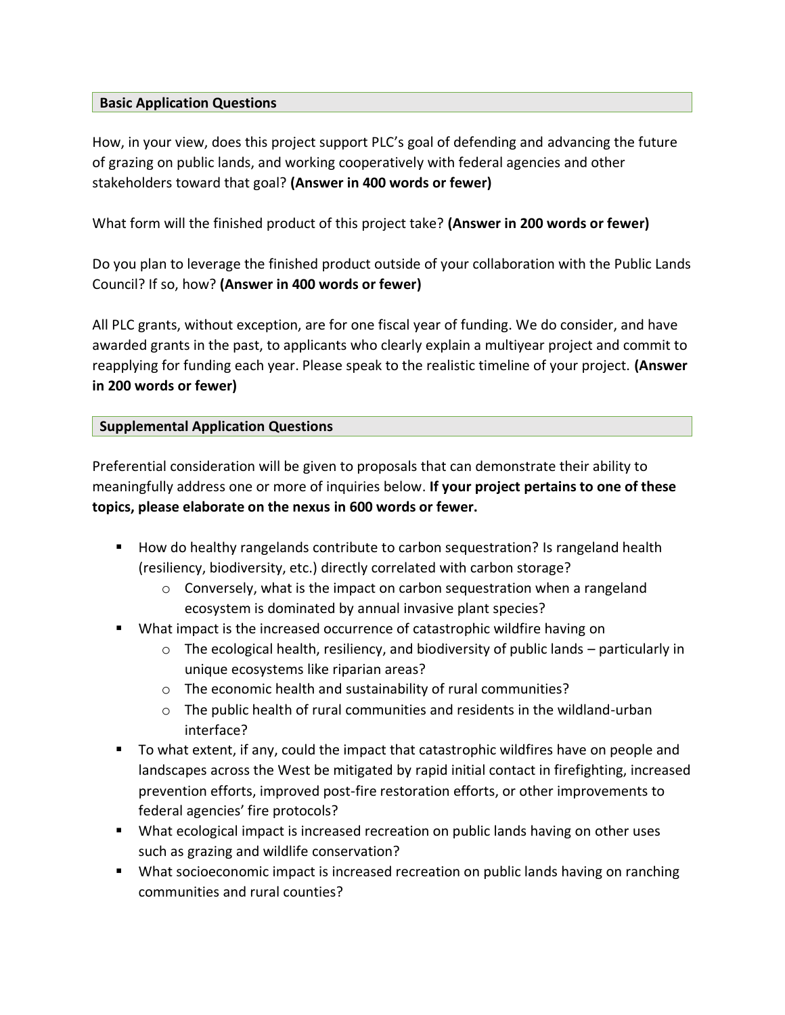#### **Basic Application Questions**

How, in your view, does this project support PLC's goal of defending and advancing the future of grazing on public lands, and working cooperatively with federal agencies and other stakeholders toward that goal? **(Answer in 400 words or fewer)**

What form will the finished product of this project take? **(Answer in 200 words or fewer)** 

Do you plan to leverage the finished product outside of your collaboration with the Public Lands Council? If so, how? **(Answer in 400 words or fewer)**

All PLC grants, without exception, are for one fiscal year of funding. We do consider, and have awarded grants in the past, to applicants who clearly explain a multiyear project and commit to reapplying for funding each year. Please speak to the realistic timeline of your project. **(Answer in 200 words or fewer)**

# **Supplemental Application Questions**

Preferential consideration will be given to proposals that can demonstrate their ability to meaningfully address one or more of inquiries below. **If your project pertains to one of these topics, please elaborate on the nexus in 600 words or fewer.**

- How do healthy rangelands contribute to carbon sequestration? Is rangeland health (resiliency, biodiversity, etc.) directly correlated with carbon storage?
	- $\circ$  Conversely, what is the impact on carbon sequestration when a rangeland ecosystem is dominated by annual invasive plant species?
- What impact is the increased occurrence of catastrophic wildfire having on
	- o The ecological health, resiliency, and biodiversity of public lands particularly in unique ecosystems like riparian areas?
	- o The economic health and sustainability of rural communities?
	- $\circ$  The public health of rural communities and residents in the wildland-urban interface?
- To what extent, if any, could the impact that catastrophic wildfires have on people and landscapes across the West be mitigated by rapid initial contact in firefighting, increased prevention efforts, improved post-fire restoration efforts, or other improvements to federal agencies' fire protocols?
- What ecological impact is increased recreation on public lands having on other uses such as grazing and wildlife conservation?
- What socioeconomic impact is increased recreation on public lands having on ranching communities and rural counties?